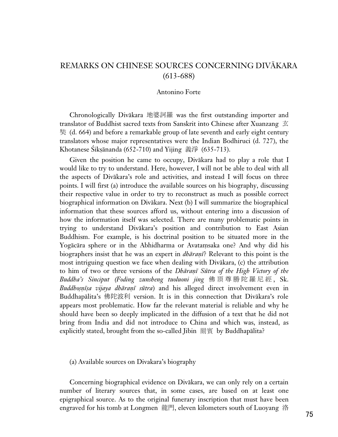## REMARKS ON CHINESE SOURCES CONCERNING DIVĀKARA (613-688)

## Antonino Forte

Chronologically Divakara 地婆訶羅 was the first outstanding importer and translator of Buddhist sacred texts from Sanskrit into Chinese after Xuanzang  $\overline{\mathfrak{T}}$  (d. 664) and before a remarkable group of late seventh and early eight century translators whose major representatives were the Indian Bodhiruci (d. 727), the Khotanese Śikṣānanda (652-710) and Yijing 義淨 (635-713).

Given the position he came to occupy, Divåkara had to play a role that I would like to try to understand. Here, however, I will not be able to deal with all the aspects of Divåkara's role and activities, and instead I will focus on three points. I will first (a) introduce the available sources on his biography, discussing their respective value in order to try to reconstruct as much as possible correct biographical information on Divåkara. Next (b) I will summarize the biographical information that these sources afford us, without entering into a discussion of how the information itself was selected. There are many problematic points in trying to understand Divåkara's position and contribution to East Asian Buddhism. For example, is his doctrinal position to be situated more in the Yogācāra sphere or in the Abhidharma or Avataṃsaka one? And why did his biographers insist that he was an expert in *dhāranī*? Relevant to this point is the most intriguing question we face when dealing with Divåkara, (c) the attribution to him of two or three versions of the *Dhāraṇī Sūtra of the High Victory of the Buddha's Sinciput (Foding zunsheng tuoluoni jing* 佛頂尊勝陀羅尼經, Sk. *Buddhosnīşa vijaya dhāraṇī sūtra*) and his alleged direct involvement even in Buddhapālita's 佛陀波利 version. It is in this connection that Divākara's role appears most problematic. How far the relevant material is reliable and why he should have been so deeply implicated in the diffusion of a text that he did not bring from India and did not introduce to China and which was, instead, as explicitly stated, brought from the so-called Jibin 罽賓 by Buddhapālita?

(a) Available sources on Divakara's biography

Concerning biographical evidence on Divåkara, we can only rely on a certain number of literary sources that, in some cases, are based on at least one epigraphical source. As to the original funerary inscription that must have been engraved for his tomb at Longmen 龍門, eleven kilometers south of Luoyang 洛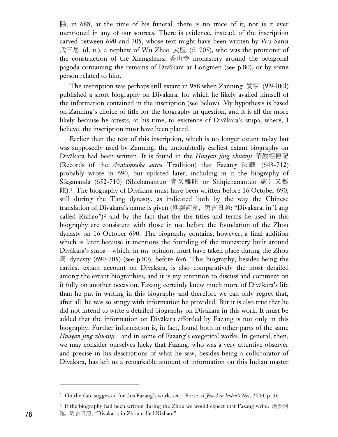, in 688, at the time of his funeral, there is no trace of it, nor is it ever mentioned in any of our sources. There is evidence, instead, of the inscription carved between 690 and 705, whose text might have been written by Wu Sansi 武三思 (d. u.), a nephew of Wu Zhao 武曌 (d. 705), who was the promoter of the construction of the Xiangshansi 香山寺 monastery around the octagonal pagoda containing the remains of Divåkara at Longmen (see p.80), or by some person related to him.

The inscription was perhaps still extant in 988 when Zanning 贊寧 (919-1001) published a short biography on Divåkara, for which he likely availed himself of the information contained in the inscription (see below). My hypothesis is based on Zanning's choice of title for the biography in question, and it is all the more likely because he attests, at his time, to existence of Divåkara's stupa, where, I believe, the inscription must have been placed.

Earlier than the text of this inscription, which is no longer extant today but was supposedly used by Zanning, the undoubtedly earliest extant biography on Divåkara had been written. It is found in the *Huayan jing zhuanji* (Records of the *Avatamsaka sūtra* Tradition) that Fazang 法藏 (643-712) probably wrote in 690, but updated later, including in it the biography of Śikṣānanda (652-710) (Shichanantuo 實叉難陀 or Shiqichanantuo 施乞叉難  $E$ ).<sup>1</sup> The biography of Divākara must have been written before 16 October 690, still during the Tang dynasty, as indicated both by the way the Chinese translation of Divākara's name is given (地婆訶羅,唐言日照: "Divākara, in Tang called Rizhao")<sup>2</sup> and by the fact that the the titles and terms he used in this biography are consistent with those in use before the foundation of the Zhou dynasty on 16 October 690. The biography contains, however, a final addition which is later because it mentions the founding of the monastery built around Divåkara's stupa—which, in my opinion, must have taken place during the Zhou dynasty (690-705) (see p.80), before 696. This biography, besides being the earliest extant account on Divåkara, is also comparatively the most detailed among the extant biographies, and it is my intention to discuss and comment on it fully on another occasion. Fazang certainly knew much more of Divåkara's life than he put in writing in this biography and therefore we can only regret that, after all, he was so stingy with information he provided. But it is also true that he did not intend to write a detailed biography on Divåkara in this work. It must be added that the information on Divåkara afforded by Fazang is not only in this biography. Further information is, in fact, found both in other parts of the same *Huayan jing zhuanji* and in some of Fazang's exegetical works. In general, then, we may consider ourselves lucky that Fazang, who was a very attentive observer and precise in his descriptions of what he saw, besides being a collaborator of Divåkara, has left us a remarkable amount of information on this Indian master

<sup>1</sup> On the date suggested for this Fazang's work, see Forte, *A Jewel in Indra's Net*, 2000, p. 56.

 $^2$  If the biography had been written during the Zhou we would expect that Fazang write: 地婆訶 羅, 周言日照, "Divākara, in Zhou called Rizhao."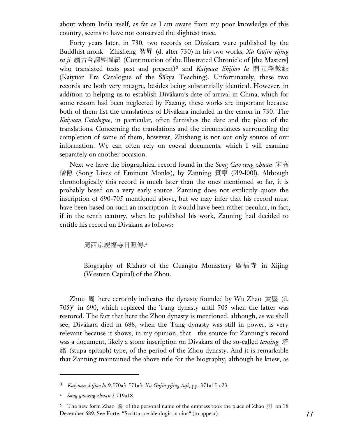about whom India itself, as far as I am aware from my poor knowledge of this country, seems to have not conserved the slightest trace.

Forty years later, in 730, two records on Divåkara were published by the Buddhist monk Zhisheng 智昇 (d. after 730) in his two works, *Xu Gujin yijing tu ji 續古今譯經圖紀* (Continuation of the Illustrated Chronicle of [the Masters] who translated texts past and present)<sup>3</sup> and *Kaiyuan Shijiao lu* 開元釋教録 (Kaiyuan Era Catalogue of the Íåkya Teaching). Unfortunately, these two records are both very meagre, besides being substantially identical. However, in addition to helping us to establish Divåkara's date of arrival in China, which for some reason had been neglected by Fazang, these works are important because both of them list the translations of Divåkara included in the canon in 730. The *Kaiyuan Catalogue*, in particular, often furnishes the date and the place of the translations. Concerning the translations and the circumstances surrounding the completion of some of them, however, Zhisheng is not our only source of our information. We can often rely on coeval documents, which I will examine separately on another occasion.

Next we have the biographical record found in the *Song Gao seng zhuan* 僧傳 (Song Lives of Eminent Monks), by Zanning 贊寧 (919-1001). Although chronologically this record is much later than the ones mentioned so far, it is probably based on a very early source. Zanning does not explicitly quote the inscription of 690-705 mentioned above, but we may infer that his record must have been based on such an inscription. It would have been rather peculiar, in fact, if in the tenth century, when he published his work, Zanning had decided to entitle his record on Divåkara as follows:

周西京廣福寺日照傳.4

Biography of Rizhao of the Guangfu Monastery 廣福寺 in Xijing (Western Capital) of the Zhou.

Zhou  $|E|$  here certainly indicates the dynasty founded by Wu Zhao  $\mathbb{R}$  & (d. 705)<sup>5</sup> in 690, which replaced the Tang dynasty until 705 when the latter was restored. The fact that here the Zhou dynasty is mentioned, although, as we shall see, Divåkara died in 688, when the Tang dynasty was still in power, is very relevant because it shows, in my opinion, that the source for Zanning's record was a document, likely a stone inscription on Divåkara of the so-called *taming* 銘 (stupa epitaph) type, of the period of the Zhou dynasty. And it is remarkable that Zanning maintained the above title for the biography, although he knew, as

<sup>3</sup> *Kaiyuan shijiao lu* 9.570a3-571a3; *Xu Gujin yijing tuji*, pp. 371a15-c23.

<sup>4</sup> *Song gaoseng zhuan* 2.719a18.

<sup>&</sup>lt;sup>5</sup> The new form Zhao  $\mathbb{B}$  of the personal name of the empress took the place of Zhao  $\mathbb{H}$  on 18 December 689. See Forte, "Scrittura e ideologia in cina" (to appear). 77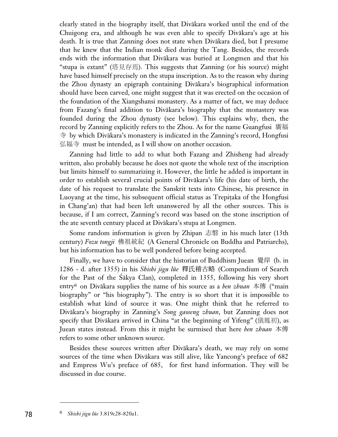clearly stated in the biography itself, that Divåkara worked until the end of the Chuigong era, and although he was even able to specify Divåkara's age at his death. It is true that Zanning does not state when Divåkara died, but I presume that he knew that the Indian monk died during the Tang. Besides, the records ends with the information that Divåkara was buried at Longmen and that his "stupa is extant" (塔見存焉). This suggests that Zanning (or his source) might have based himself precisely on the stupa inscription. As to the reason why during the Zhou dynasty an epigraph containing Divåkara's biographical information should have been carved, one might suggest that it was erected on the occasion of the foundation of the Xiangshansi monastery. As a matter of fact, we may deduce from Fazang's final addition to Divåkara's biography that the monastery was founded during the Zhou dynasty (see below). This explains why, then, the record by Zanning explicitly refers to the Zhou. As for the name Guangfusi by which Divåkara's monastery is indicated in the Zanning's record, Hongfusi 弘福寺 must be intended, as I will show on another occasion.

Zanning had little to add to what both Fazang and Zhisheng had already written, also probably because he does not quote the whole text of the inscription but limits himself to summarizing it. However, the little he added is important in order to establish several crucial points of Divåkara's life (his date of birth, the date of his request to translate the Sanskrit texts into Chinese, his presence in Luoyang at the time, his subsequent official status as Trepitaka of the Hongfusi in Chang'an) that had been left unanswered by all the other sources. This is because, if I am correct, Zanning's record was based on the stone inscription of the ate seventh century placed at Divåkara's stupa at Longmen.

Some random information is given by Zhipan 志磐 in his much later  $(13th)$ century) *Fozu tongji* 佛祖統紀 (A General Chronicle on Buddha and Patriarchs), but his information has to be well pondered before being accepted.

Finally, we have to consider that the historian of Buddhism Juean  $\frac{16}{15}$  (b. in 1286 - d. after 1355) in his Shishi jigu lüe 釋氏稽古略 (Compendium of Search for the Past of the Íåkya Clan), completed in 1355, following his very short entry<sup>6</sup> on Divākara supplies the name of his source as a *ben zhuan* 本傳 ("main biography" or "his biography"). The entry is so short that it is impossible to establish what kind of source it was. One might think that he referred to Divåkara's biography in Zanning's *Song gaoseng zhuan*, but Zanning does not specify that Divākara arrived in China "at the beginning of Yifeng" ( $\ddot{\text{R}}\text{R}\ddot{\text{R}}$ ), as Juean states instead. From this it might be surmised that here *ben zhuan* 本傳 refers to some other unknown source.

Besides these sources written after Divåkara's death, we may rely on some sources of the time when Divåkara was still alive, like Yancong's preface of 682 and Empress Wu's preface of 685, for first hand information. They will be discussed in due course.

<sup>6</sup> 78 *Shishi jigu lüe* 3.819c28-820a1.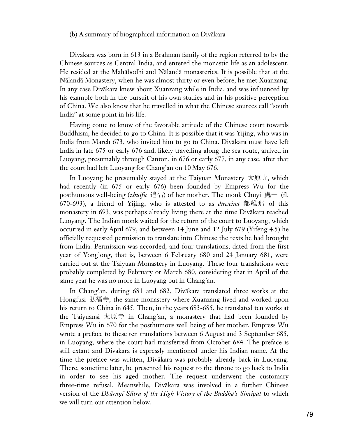## (b) A summary of biographical information on Divåkara

Divåkara was born in 613 in a Brahman family of the region referred to by the Chinese sources as Central India, and entered the monastic life as an adolescent. He resided at the Mahåbodhi and Nålandå monasteries. It is possible that at the Nålandå Monastery, when he was almost thirty or even before, he met Xuanzang. In any case Divåkara knew about Xuanzang while in India, and was influenced by his example both in the pursuit of his own studies and in his positive perception of China. We also know that he travelled in what the Chinese sources call "south India" at some point in his life.

Having come to know of the favorable attitude of the Chinese court towards Buddhism, he decided to go to China. It is possible that it was Yijing, who was in India from March 673, who invited him to go to China. Divåkara must have left India in late 675 or early 676 and, likely travelling along the sea route, arrived in Luoyang, presumably through Canton, in 676 or early 677, in any case, after that the court had left Luoyang for Chang'an on 10 May 676.

In Luoyang he presumably stayed at the Taiyuan Monastery 太原寺, which had recently (in 675 or early 676) been founded by Empress Wu for the posthumous well-being (*zhuifu* 追福) of her mother. The monk Chuyi 處一 (fl. 670-693), a friend of Yijing, who is attested to as *duweina* 都維那 of this monastery in 693, was perhaps already living there at the time Divåkara reached Luoyang. The Indian monk waited for the return of the court to Luoyang, which occurred in early April 679, and between 14 June and 12 July 679 (Yifeng 4.5) he officially requested permission to translate into Chinese the texts he had brought from India. Permission was accorded, and four translations, dated from the first year of Yonglong, that is, between 6 February 680 and 24 January 681, were carried out at the Taiyuan Monastery in Luoyang. These four translations were probably completed by February or March 680, considering that in April of the same year he was no more in Luoyang but in Chang'an.

In Chang'an, during 681 and 682, Divåkara translated three works at the Hongfusi 弘福寺, the same monastery where Xuanzang lived and worked upon his return to China in 645. Then, in the years 683-685, he translated ten works at the Taiyuansi 太原寺 in Chang'an, a monastery that had been founded by Empress Wu in 670 for the posthumous well being of her mother. Empress Wu wrote a preface to these ten translations between 6 August and 3 September 685, in Luoyang, where the court had transferred from October 684. The preface is still extant and Divåkara is expressly mentioned under his Indian name. At the time the preface was written, Divåkara was probably already back in Luoyang. There, sometime later, he presented his request to the throne to go back to India in order to see his aged mother. The request underwent the customary three-time refusal. Meanwhile, Divåkara was involved in a further Chinese version of the *Dhāraṇī Sūtra of the High Victory of the Buddha's Sinciput* to which we will turn our attention below.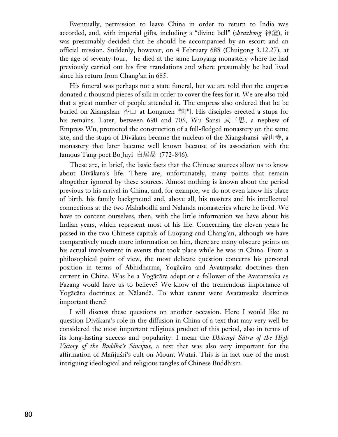Eventually, permission to leave China in order to return to India was accorded, and, with imperial gifts, including a "divine bell" (*shenzhong* 神鐘), it was presumably decided that he should be accompanied by an escort and an official mission. Suddenly, however, on 4 February 688 (Chuigong 3.12.27), at the age of seventy-four, he died at the same Luoyang monastery where he had previously carried out his first translations and where presumably he had lived since his return from Chang'an in 685.

His funeral was perhaps not a state funeral, but we are told that the empress donated a thousand pieces of silk in order to cover the fees for it. We are also told that a great number of people attended it. The empress also ordered that he be buried on Xiangshan 香山 at Longmen 龍門. His disciples erected a stupa for his remains. Later, between 690 and 705, Wu Sansi 武三思, a nephew of Empress Wu, promoted the construction of a full-fledged monastery on the same site, and the stupa of Divākara became the nucleus of the Xiangshansi 香山寺, a monastery that later became well known because of its association with the famous Tang poet Bo Juyi 白居易 (772-846).

These are, in brief, the basic facts that the Chinese sources allow us to know about Divåkara's life. There are, unfortunately, many points that remain altogether ignored by these sources. Almost nothing is known about the period previous to his arrival in China, and, for example, we do not even know his place of birth, his family background and, above all, his masters and his intellectual connections at the two Mahåbodhi and Nålandå monasteries where he lived. We have to content ourselves, then, with the little information we have about his Indian years, which represent most of his life. Concerning the eleven years he passed in the two Chinese capitals of Luoyang and Chang'an, although we have comparatively much more information on him, there are many obscure points on his actual involvement in events that took place while he was in China. From a philosophical point of view, the most delicate question concerns his personal position in terms of Abhidharma, Yogācāra and Avataṃsaka doctrines then current in China. Was he a Yogācāra adept or a follower of the Avatamsaka as Fazang would have us to believe? We know of the tremendous importance of Yogācāra doctrines at Nālandā. To what extent were Avataṃsaka doctrines important there?

I will discuss these questions on another occasion. Here I would like to question Divåkara's role in the diffusion in China of a text that may very well be considered the most important religious product of this period, also in terms of its long-lasting success and popularity. I mean the *Dhāraṇī Sūtra of the High Victory of the Buddha's Sinciput*, a text that was also very important for the affirmation of Mañjuśrī's cult on Mount Wutai. This is in fact one of the most intriguing ideological and religious tangles of Chinese Buddhism.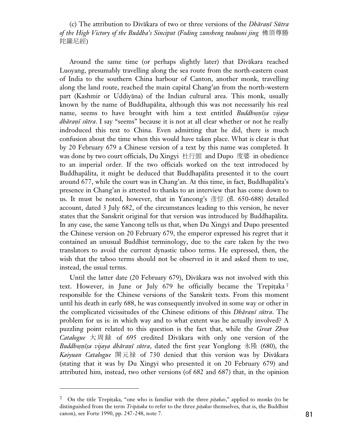(c) The attribution to Divākara of two or three versions of the *Dhāraṇī Sūtra of the High Victory of the Buddha's Sinciput (Foding zunsheng tuoluoni jing* - 陀羅尼經)

Around the same time (or perhaps slightly later) that Divåkara reached Luoyang, presumably travelling along the sea route from the north-eastern coast of India to the southern China harbour of Canton, another monk, travelling along the land route, reached the main capital Chang'an from the north-western part (Kashmir or Uddiyāna) of the Indian cultural area. This monk, usually known by the name of Buddhapålita, although this was not necessarily his real name, seems to have brought with him a text entitled *Buddhosnisa vijaya dhāraṇī sūtra*. I say "seems" because it is not at all clear whether or not he really indroduced this text to China. Even admitting that he did, there is much confusion about the time when this would have taken place. What is clear is that by 20 February 679 a Chinese version of a text by this name was completed. It was done by two court officials, Du Xingyi 杜行顗 and Dupo 度婆 in obedience to an imperial order. If the two officials worked on the text introduced by Buddhapålita, it might be deduced that Buddhapålita presented it to the court around 677, while the court was in Chang'an. At this time, in fact, Buddhapålita's presence in Chang'an is attested to thanks to an interview that has come down to us. It must be noted, however, that in Yancong's 彥悰 (fl. 650-688) detailed account, dated 3 July 682, of the circumstances leading to this version, he never states that the Sanskrit original for that version was introduced by Buddhapålita. In any case, the same Yancong tells us that, when Du Xingyi and Dupo presented the Chinese version on 20 February 679, the emperor expressed his regret that it contained an unusual Buddhist terminology, due to the care taken by the two translators to avoid the current dynastic taboo terms. He expressed, then, the wish that the taboo terms should not be observed in it and asked them to use, instead, the usual terms.

Until the latter date (20 February 679), Divåkara was not involved with this text. However, in June or July 679 he officially became the Trepitaka<sup>7</sup> responsible for the Chinese versions of the Sanskrit texts. From this moment until his death in early 688, he was consequently involved in some way or other in the complicated vicissitudes of the Chinese editions of this *Dhāraṇī sūtra*. The problem for us is: in which way and to what extent was he actually involved? A puzzling point related to this question is the fact that, while the *Great Zhou Catalogue*  $\models$   $\mathbb{R}$   $\mathbb{R}$  of 695 credited Divakara with only one version of the *Buddhoṣṇīṣa vijaya dhāraṇī sūtra*, dated the first year Yonglong 永隆 (680), the Kaiyuan Catalogue 開元禄 of 730 denied that this version was by Divākara (stating that it was by Du Xingyi who presented it on 20 February 679) and attributed him, instead, two other versions (of 682 and 687) that, in the opinion

<sup>7</sup> On the title Trepi†aka, "one who is familiar with the three *pi†akas*," applied to monks (to be distinguished from the term *Tripi†aka* to refer to the three *pi†akas* themselves, that is, the Buddhist canon), see Forte 1990, pp. 247-248, note 7. 81